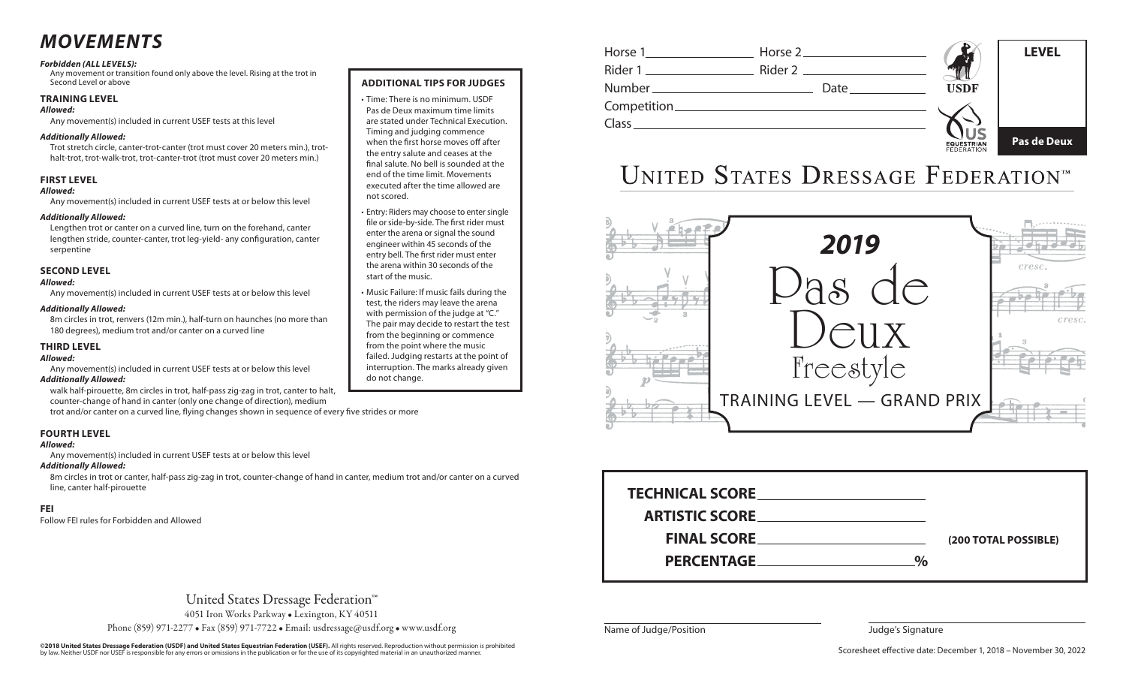## *MOVEMENTS*

#### *Forbidden (ALL LEVELS):*

Any movement or transition found only above the level. Rising at the trot in Second Level or above

#### **TRAINING LEVEL**

#### *Allowed:*

Any movement(s) included in current USEF tests at this level

#### *Additionally Allowed:*

Trot stretch circle, canter-trot-canter (trot must cover 20 meters min.), trothalt-trot, trot-walk-trot, trot-canter-trot (trot must cover 20 meters min.)

#### **FIRST LEVEL**

#### *Allowed:*

Any movement(s) included in current USEF tests at or below this level

#### *Additionally Allowed:*

Lengthen trot or canter on a curved line, turn on the forehand, canter lengthen stride, counter-canter, trot leg-yield- any configuration, canter serpentine

#### **SECOND LEVEL**

#### *Allowed:*

Any movement(s) included in current USEF tests at or below this level

#### *Additionally Allowed:*

8m circles in trot, renvers (12m min.), half-turn on haunches (no more than 180 degrees), medium trot and/or canter on a curved line

#### **THIRD LEVEL**

#### *Allowed:*

Any movement(s) included in current USEF tests at or below this level *Additionally Allowed:* 

walk half-pirouette, 8m circles in trot, half-pass zig-zag in trot, canter to halt, counter-change of hand in canter (only one change of direction), medium

trot and/or canter on a curved line, flying changes shown in sequence of every five strides or more

#### **FOURTH LEVEL**

#### *Allowed:*

Any movement(s) included in current USEF tests at or below this level

#### *Additionally Allowed:*

8m circles in trot or canter, half-pass zig-zag in trot, counter-change of hand in canter, medium trot and/or canter on a curved line, canter half-pirouette

#### **FEI**

Follow FEI rules for Forbidden and Allowed

#### **ADDITIONAL TIPS FOR JUDGES**

- • Time: There is no minimum. USDF Pas de Deux maximum time limits are stated under Technical Execution. Timing and judging commence when the first horse moves off after the entry salute and ceases at the final salute. No bell is sounded at the end of the time limit. Movements executed after the time allowed are not scored.
- • Entry: Riders may choose to enter single file or side-by-side. The first rider must enter the arena or signal the sound engineer within 45 seconds of the entry bell. The first rider must enter the arena within 30 seconds of the start of the music.
- • Music Failure: If music fails during the test, the riders may leave the arena with permission of the judge at "C." The pair may decide to restart the test from the beginning or commence from the point where the music failed. Judging restarts at the point of interruption. The marks already given do not change.



# UNITED STATES DRESSAGE FEDERATIONT



| <b>ARTISTIC SCORE</b> |               |                      |
|-----------------------|---------------|----------------------|
|                       |               | (200 TOTAL POSSIBLE) |
| PERCENTAGE PERCENTAGE | $\frac{0}{0}$ |                      |

United States Dressage Federation™

4051 Iron Works Parkway • Lexington, KY 40511

Phone (859) 971-2277 • Fax (859) 971-7722 • Email: usdressage@usdf.org • www.usdf.org

©**2018 United States Dressage Federation (USDF) and United States Equestrian Federation (USEF).** All rights reserved. Reproduction without permission is prohibited<br>by law. Neither USDF nor USEF is responsible for any error

Name of Judge/Position and The State of Signature Judge's Signature

Scoresheet effective date: December 1, 2018 – November 30, 2022